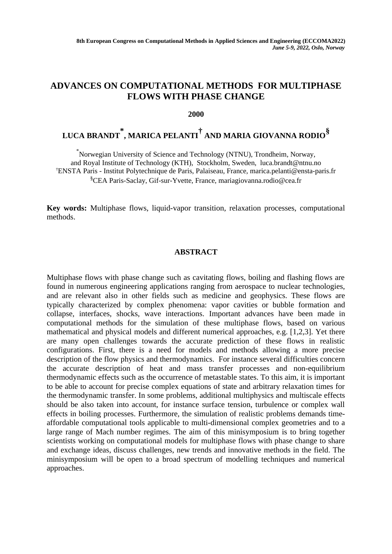## **ADVANCES ON COMPUTATIONAL METHODS FOR MULTIPHASE FLOWS WITH PHASE CHANGE**

**2000**

## **LUCA BRANDT \* , MARICA PELANTI† AND MARIA GIOVANNA RODIO§**

\* Norwegian University of Science and Technology (NTNU), Trondheim, Norway, and Royal Institute of Technology (KTH), Stockholm, Sweden, luca.brandt@ntnu.no †ENSTA Paris - Institut Polytechnique de Paris, Palaiseau, France, marica.pelanti@ensta-paris.fr §CEA Paris-Saclay, Gif-sur-Yvette, France, mariagiovanna.rodio@cea.fr

**Key words:** Multiphase flows, liquid-vapor transition, relaxation processes, computational methods.

## **ABSTRACT**

Multiphase flows with phase change such as cavitating flows, boiling and flashing flows are found in numerous engineering applications ranging from aerospace to nuclear technologies, and are relevant also in other fields such as medicine and geophysics. These flows are typically characterized by complex phenomena: vapor cavities or bubble formation and collapse, interfaces, shocks, wave interactions. Important advances have been made in computational methods for the simulation of these multiphase flows, based on various mathematical and physical models and different numerical approaches, e.g. [1,2,3]. Yet there are many open challenges towards the accurate prediction of these flows in realistic configurations. First, there is a need for models and methods allowing a more precise description of the flow physics and thermodynamics. For instance several difficulties concern the accurate description of heat and mass transfer processes and non-equilibrium thermodynamic effects such as the occurrence of metastable states. To this aim, it is important to be able to account for precise complex equations of state and arbitrary relaxation times for the thermodynamic transfer. In some problems, additional multiphysics and multiscale effects should be also taken into account, for instance surface tension, turbulence or complex wall effects in boiling processes. Furthermore, the simulation of realistic problems demands timeaffordable computational tools applicable to multi-dimensional complex geometries and to a large range of Mach number regimes. The aim of this minisymposium is to bring together scientists working on computational models for multiphase flows with phase change to share and exchange ideas, discuss challenges, new trends and innovative methods in the field. The minisymposium will be open to a broad spectrum of modelling techniques and numerical approaches.